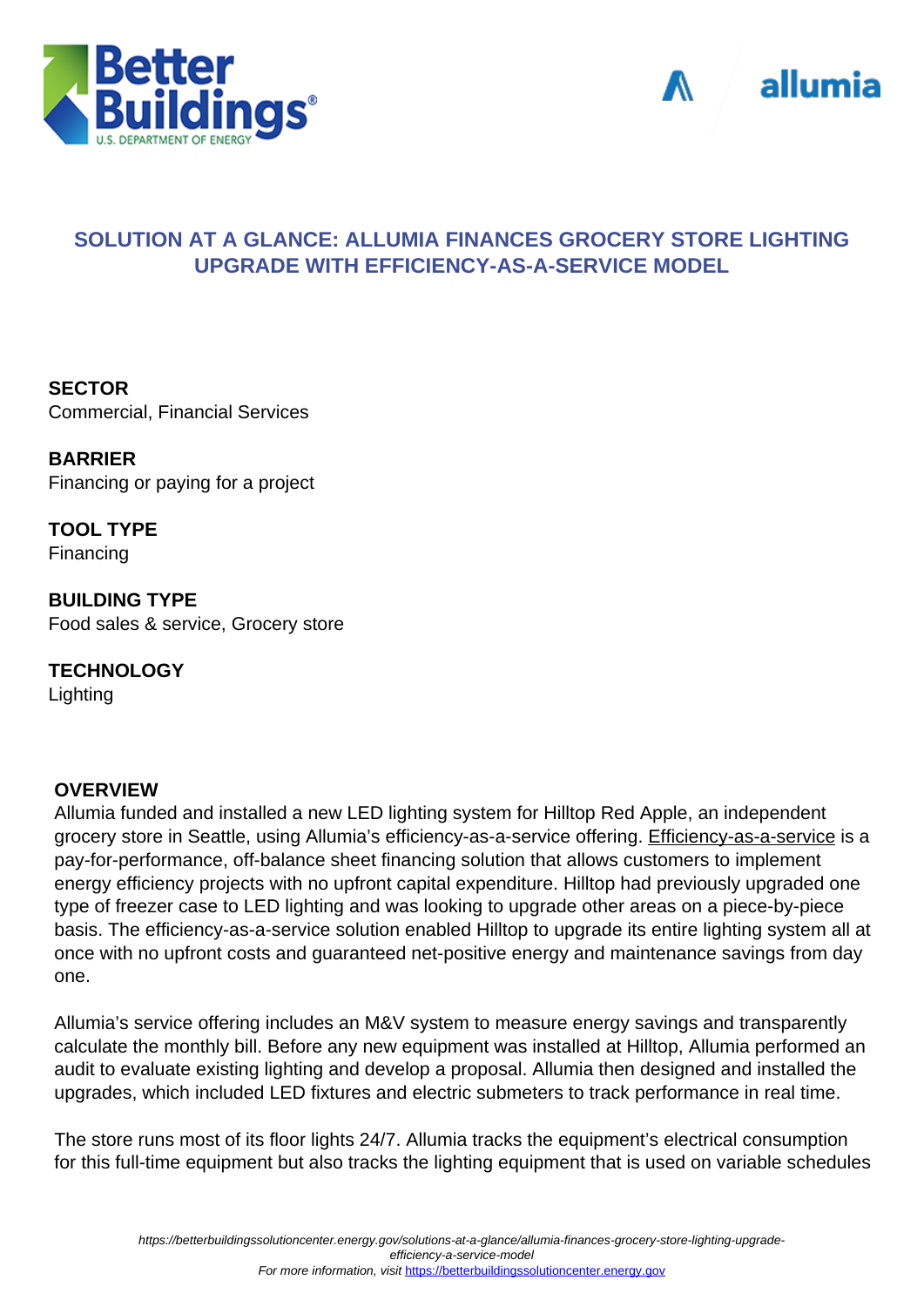



## **SOLUTION AT A GLANCE: ALLUMIA FINANCES GROCERY STORE LIGHTING UPGRADE WITH EFFICIENCY-AS-A-SERVICE MODEL**

**SECTOR** Commercial, Financial Services

**BARRIER** Financing or paying for a project

**TOOL TYPE** Financing

**BUILDING TYPE** Food sales & service, Grocery store

**TECHNOLOGY** Lighting

## **OVERVIEW**

Allumia funded and installed a new LED lighting system for Hilltop Red Apple, an independent grocery store in Seattle, using Allumia's efficiency-as-a-service offering. [Efficiency-as-a-service](https://betterbuildingssolutioncenter.energy.gov/financing-navigator/option/esamesa) is a pay-for-performance, off-balance sheet financing solution that allows customers to implement energy efficiency projects with no upfront capital expenditure. Hilltop had previously upgraded one type of freezer case to LED lighting and was looking to upgrade other areas on a piece-by-piece basis. The efficiency-as-a-service solution enabled Hilltop to upgrade its entire lighting system all at once with no upfront costs and guaranteed net-positive energy and maintenance savings from day one.

Allumia's service offering includes an M&V system to measure energy savings and transparently calculate the monthly bill. Before any new equipment was installed at Hilltop, Allumia performed an audit to evaluate existing lighting and develop a proposal. Allumia then designed and installed the upgrades, which included LED fixtures and electric submeters to track performance in real time.

The store runs most of its floor lights 24/7. Allumia tracks the equipment's electrical consumption for this full-time equipment but also tracks the lighting equipment that is used on variable schedules